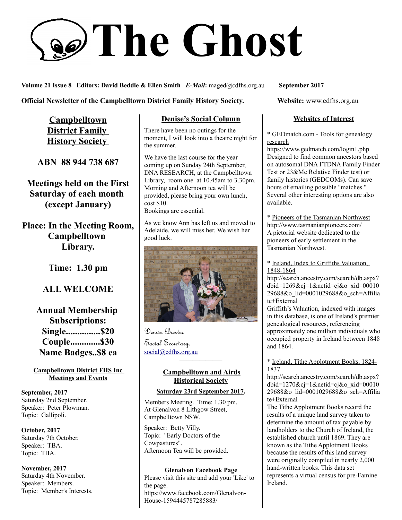# **The Ghost**

**Volume 21 Issue 8 Editors: David Beddie & Ellen Smith** *E-Mail***:** maged@cdfhs.org.au **September 2017**

## **Official Newsletter of the Campbelltown District Family History Society. Website: www.cdfhs.org.au**

**Campbelltown District Family History Society** 

**ABN 88 944 738 687**

**Meetings held on the First Saturday of each month (except January)**

**Place: In the Meeting Room, Campbelltown Library.**

**Time: 1.30 pm**

# **ALL WELCOME**

**Annual Membership Subscriptions: Single...............\$20 Couple.............\$30 Name Badges..\$8 ea**

**Campbelltown District FHS Inc Meetings and Events**

**September, 2017** Saturday 2nd September. Speaker: Peter Plowman. Topic: Gallipoli.

**October, 2017** Saturday 7th October. Speaker: TBA. Topic: TBA.

**November, 2017** Saturday 4th November. Speaker: Members. Topic: Member's Interests.

## **Denise's Social Column**

There have been no outings for the moment, I will look into a theatre night for the summer.

We have the last course for the year coming up on Sunday 24th September, DNA RESEARCH, at the Campbelltown Library, room one at 10.45am to 3.30pm. Morning and Afternoon tea will be provided, please bring your own lunch, cost \$10. Bookings are essential.

As we know Ann has left us and moved to Adelaide, we will miss her. We wish her good luck.



Denise Baxter Social Secretary. [social@cdfhs.org.au](mailto:social@cdfhs.org.au)

## **Campbelltown and Airds Historical Society**

**——————–**

#### **Saturday 23rd September 2017.**

Members Meeting. Time: 1.30 pm. At Glenalvon 8 Lithgow Street, Campbelltown NSW.

Speaker: Betty Villy. Topic: "Early Doctors of the Cowpastures". Afternoon Tea will be provided. **——————–**

#### **Glenalvon Facebook Page**

Please visit this site and add your 'Like' to the page. https://www.facebook.com/Glenalvon-House-1594445787285883/

#### **Websites of Interest**

\* GEDmatch.com - Tools for genealogy research

https://www.gedmatch.com/login1.php Designed to find common ancestors based on autosomal DNA FTDNA Family Finder Test or 23&Me Relative Finder test) or family histories (GEDCOMs). Can save hours of emailing possible "matches." Several other interesting options are also available.

\* Pioneers of the Tasmanian Northwest http://www.tasmanianpioneers.com/ A pictorial website dedicated to the pioneers of early settlement in the Tasmanian Northwest.

\* Ireland, Index to Griffiths Valuation, 1848-1864

http://search.ancestry.com/search/db.aspx? dbid=1269&cj=1&netid=cj&o\_xid=00010 29688&o\_lid=0001029688&o\_sch=Affilia te+External

Griffith's Valuation, indexed with images in this database, is one of Ireland's premier genealogical resources, referencing approximately one million individuals who occupied property in Ireland between 1848 and 1864.

#### \* Ireland, Tithe Applotment Books, 1824- 1837

http://search.ancestry.com/search/db.aspx? dbid= $1270\&c$ j=1 $\&$ netid=cj $\&$ o xid=00010 29688&o\_lid=0001029688&o\_sch=Affilia te+External

The Tithe Applotment Books record the results of a unique land survey taken to determine the amount of tax payable by landholders to the Church of Ireland, the established church until 1869. They are known as the Tithe Applotment Books because the results of this land survey were originally compiled in nearly 2,000 hand-written books. This data set represents a virtual census for pre-Famine Ireland.